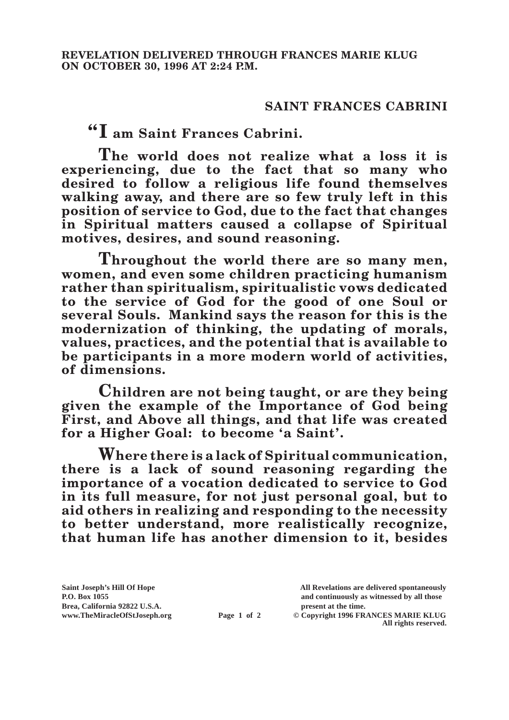## **SAINT FRANCES CABRINI**

**"I am Saint Frances Cabrini.**

**The world does not realize what a loss it is experiencing, due to the fact that so many who desired to follow a religious life found themselves walking away, and there are so few truly left in this position of service to God, due to the fact that changes in Spiritual matters caused a collapse of Spiritual motives, desires, and sound reasoning.**

**Throughout the world there are so many men, women, and even some children practicing humanism rather than spiritualism, spiritualistic vows dedicated to the service of God for the good of one Soul or several Souls. Mankind says the reason for this is the modernization of thinking, the updating of morals, values, practices, and the potential that is available to be participants in a more modern world of activities, of dimensions.**

**Children are not being taught, or are they being given the example of the Importance of God being First, and Above all things, and that life was created for a Higher Goal: to become 'a Saint'.**

**Where there is a lack of Spiritual communication, there is a lack of sound reasoning regarding the importance of a vocation dedicated to service to God in its full measure, for not just personal goal, but to aid others in realizing and responding to the necessity to better understand, more realistically recognize, that human life has another dimension to it, besides** 

**Saint Joseph's Hill Of Hope All Revelations are delivered spontaneously P.O. Box 1055 and continuously as witnessed by all those** 

**Page 1 of 2** © Copyright 1996 FRANCES MARIE KLUG **All rights reserved.**